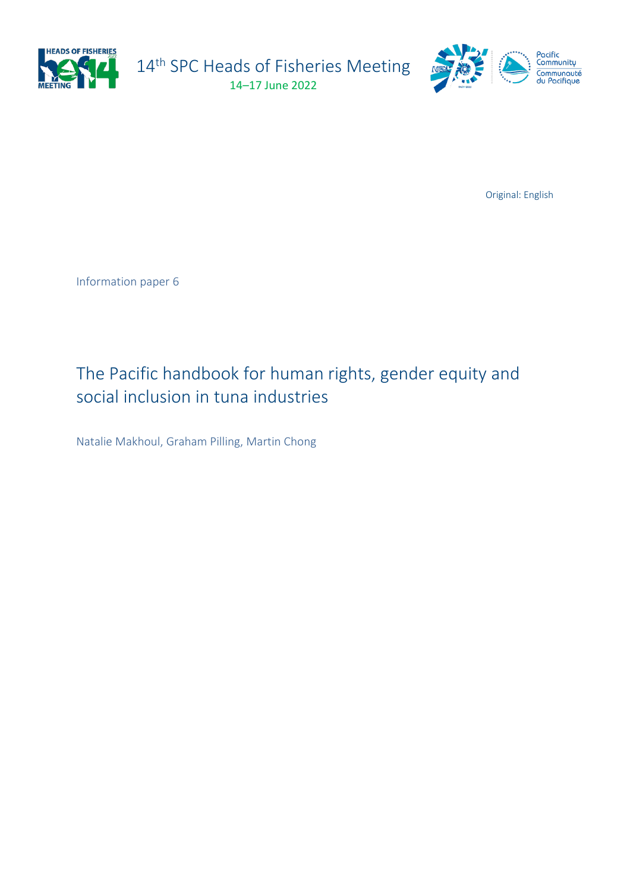

14<sup>th</sup> SPC Heads of Fisheries Meeting 14–17 June 2022



Original: English

Information paper 6

# The Pacific handbook for human rights, gender equity and social inclusion in tuna industries

Natalie Makhoul, Graham Pilling, Martin Chong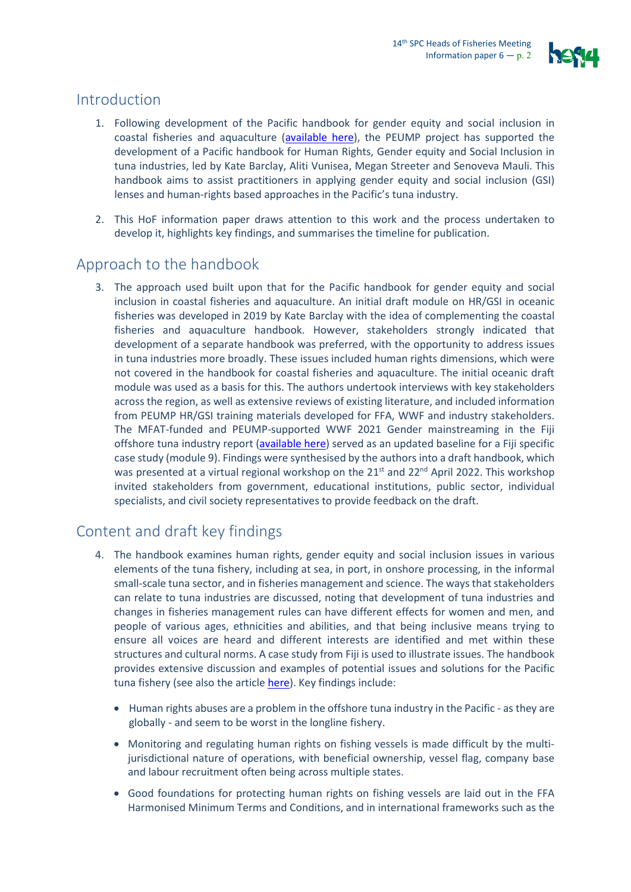

### Introduction

- 1. Following development of the Pacific handbook for gender equity and social inclusion in coastal fisheries and aquaculture [\(available here\)](https://coastfish.spc.int/en/component/content/article/494-gender-equity-and-social-inclusion-handbook), the PEUMP project has supported the development of a Pacific handbook for Human Rights, Gender equity and Social Inclusion in tuna industries, led by Kate Barclay, Aliti Vunisea, Megan Streeter and Senoveva Mauli. This handbook aims to assist practitioners in applying gender equity and social inclusion (GSI) lenses and human-rights based approaches in the Pacific's tuna industry.
- 2. This HoF information paper draws attention to this work and the process undertaken to develop it, highlights key findings, and summarises the timeline for publication.

### Approach to the handbook

3. The approach used built upon that for the Pacific handbook for gender equity and social inclusion in coastal fisheries and aquaculture. An initial draft module on HR/GSI in oceanic fisheries was developed in 2019 by Kate Barclay with the idea of complementing the coastal fisheries and aquaculture handbook. However, stakeholders strongly indicated that development of a separate handbook was preferred, with the opportunity to address issues in tuna industries more broadly. These issues included human rights dimensions, which were not covered in the handbook for coastal fisheries and aquaculture. The initial oceanic draft module was used as a basis for this. The authors undertook interviews with key stakeholders across the region, as well as extensive reviews of existing literature, and included information from PEUMP HR/GSI training materials developed for FFA, WWF and industry stakeholders. The MFAT-funded and PEUMP-supported WWF 2021 Gender mainstreaming in the Fiji offshore tuna industry report [\(available here\)](https://www.wwfpacific.org/?370237/WWF-and-partners-launch-Gender-Mainstreaming-in-Fiji-Offshore-Tuna-Industry-Report) served as an updated baseline for a Fiji specific case study (module 9). Findings were synthesised by the authors into a draft handbook, which was presented at a virtual regional workshop on the 21<sup>st</sup> and 22<sup>nd</sup> April 2022. This workshop invited stakeholders from government, educational institutions, public sector, individual specialists, and civil society representatives to provide feedback on the draft.

## Content and draft key findings

- 4. The handbook examines human rights, gender equity and social inclusion issues in various elements of the tuna fishery, including at sea, in port, in onshore processing, in the informal small-scale tuna sector, and in fisheries management and science. The ways that stakeholders can relate to tuna industries are discussed, noting that development of tuna industries and changes in fisheries management rules can have different effects for women and men, and people of various ages, ethnicities and abilities, and that being inclusive means trying to ensure all voices are heard and different interests are identified and met within these structures and cultural norms. A case study from Fiji is used to illustrate issues. The handbook provides extensive discussion and examples of potential issues and solutions for the Pacific tuna fishery (see also the article [here\)](https://purl.org/spc/digilib/doc/7p9bx). Key findings include:
	- Human rights abuses are a problem in the offshore tuna industry in the Pacific as they are globally - and seem to be worst in the longline fishery.
	- Monitoring and regulating human rights on fishing vessels is made difficult by the multijurisdictional nature of operations, with beneficial ownership, vessel flag, company base and labour recruitment often being across multiple states.
	- Good foundations for protecting human rights on fishing vessels are laid out in the FFA Harmonised Minimum Terms and Conditions, and in international frameworks such as the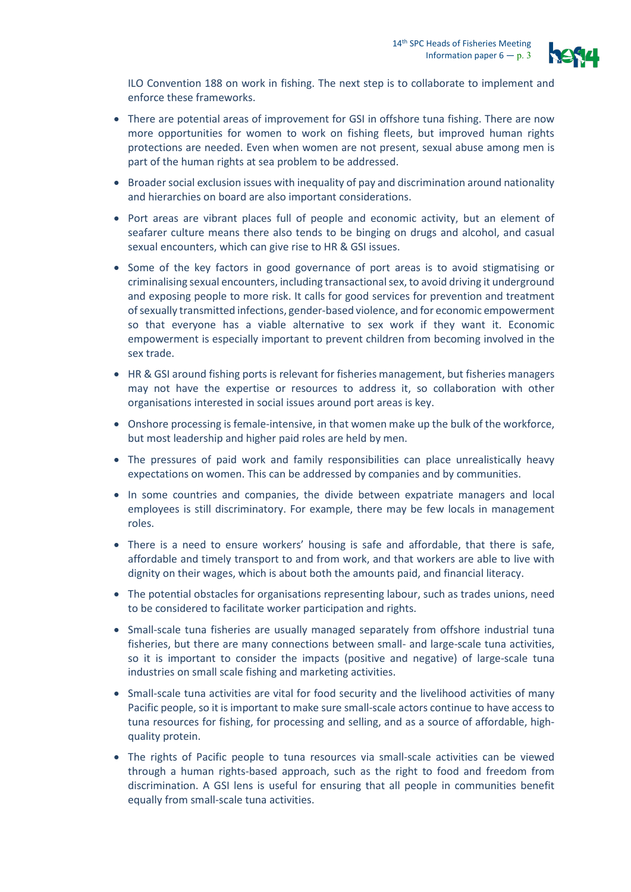

ILO Convention 188 on work in fishing. The next step is to collaborate to implement and enforce these frameworks.

- There are potential areas of improvement for GSI in offshore tuna fishing. There are now more opportunities for women to work on fishing fleets, but improved human rights protections are needed. Even when women are not present, sexual abuse among men is part of the human rights at sea problem to be addressed.
- Broader social exclusion issues with inequality of pay and discrimination around nationality and hierarchies on board are also important considerations.
- Port areas are vibrant places full of people and economic activity, but an element of seafarer culture means there also tends to be binging on drugs and alcohol, and casual sexual encounters, which can give rise to HR & GSI issues.
- Some of the key factors in good governance of port areas is to avoid stigmatising or criminalising sexual encounters, including transactional sex, to avoid driving it underground and exposing people to more risk. It calls for good services for prevention and treatment of sexually transmitted infections, gender-based violence, and for economic empowerment so that everyone has a viable alternative to sex work if they want it. Economic empowerment is especially important to prevent children from becoming involved in the sex trade.
- HR & GSI around fishing ports is relevant for fisheries management, but fisheries managers may not have the expertise or resources to address it, so collaboration with other organisations interested in social issues around port areas is key.
- Onshore processing is female-intensive, in that women make up the bulk of the workforce, but most leadership and higher paid roles are held by men.
- The pressures of paid work and family responsibilities can place unrealistically heavy expectations on women. This can be addressed by companies and by communities.
- In some countries and companies, the divide between expatriate managers and local employees is still discriminatory. For example, there may be few locals in management roles.
- There is a need to ensure workers' housing is safe and affordable, that there is safe, affordable and timely transport to and from work, and that workers are able to live with dignity on their wages, which is about both the amounts paid, and financial literacy.
- The potential obstacles for organisations representing labour, such as trades unions, need to be considered to facilitate worker participation and rights.
- Small-scale tuna fisheries are usually managed separately from offshore industrial tuna fisheries, but there are many connections between small- and large-scale tuna activities, so it is important to consider the impacts (positive and negative) of large-scale tuna industries on small scale fishing and marketing activities.
- Small-scale tuna activities are vital for food security and the livelihood activities of many Pacific people, so it is important to make sure small-scale actors continue to have access to tuna resources for fishing, for processing and selling, and as a source of affordable, highquality protein.
- The rights of Pacific people to tuna resources via small-scale activities can be viewed through a human rights-based approach, such as the right to food and freedom from discrimination. A GSI lens is useful for ensuring that all people in communities benefit equally from small-scale tuna activities.